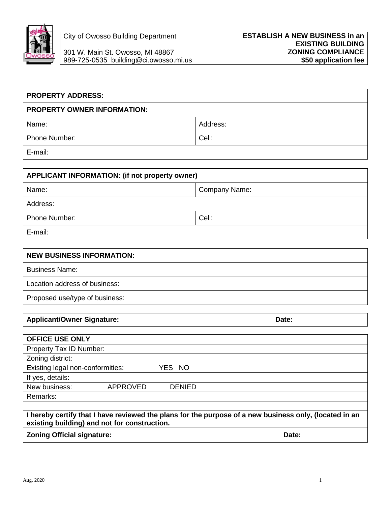

301 W. Main St. Owosso, MI 48867 **ZONING COMPLIANCE** 989-725-0535 building@ci.owosso.mi.us

| <b>PROPERTY ADDRESS:</b>           |          |
|------------------------------------|----------|
| <b>PROPERTY OWNER INFORMATION:</b> |          |
| Name:                              | Address: |
| <b>Phone Number:</b>               | Cell:    |
| E-mail:                            |          |

| APPLICANT INFORMATION: (if not property owner) |               |  |
|------------------------------------------------|---------------|--|
| Name:                                          | Company Name: |  |
| Address:                                       |               |  |
| <b>Phone Number:</b>                           | Cell:         |  |
| E-mail:                                        |               |  |

| <b>NEW BUSINESS INFORMATION:</b> |
|----------------------------------|
| <b>Business Name:</b>            |
| Location address of business:    |
| Proposed use/type of business:   |

## Applicant/Owner Signature: **Date:** Date: Date: Date: Date: Date: Date: Date: Date: Date: Date: Date: Date: Date: Date: Date: Date: Date: Date: Date: Date: Date: Date: Date: Date: Date: Date: Date: Date: Date: Date: Date: D

| <b>OFFICE USE ONLY</b>                                                                                                                                 |               |  |
|--------------------------------------------------------------------------------------------------------------------------------------------------------|---------------|--|
| Property Tax ID Number:                                                                                                                                |               |  |
| Zoning district:                                                                                                                                       |               |  |
| Existing legal non-conformities:                                                                                                                       | YES NO        |  |
| If yes, details:                                                                                                                                       |               |  |
| New business:<br><b>APPROVED</b>                                                                                                                       | <b>DENIED</b> |  |
| Remarks:                                                                                                                                               |               |  |
|                                                                                                                                                        |               |  |
| I hereby certify that I have reviewed the plans for the purpose of a new business only, (located in an<br>existing building) and not for construction. |               |  |
| <b>Zoning Official signature:</b>                                                                                                                      | Date:         |  |